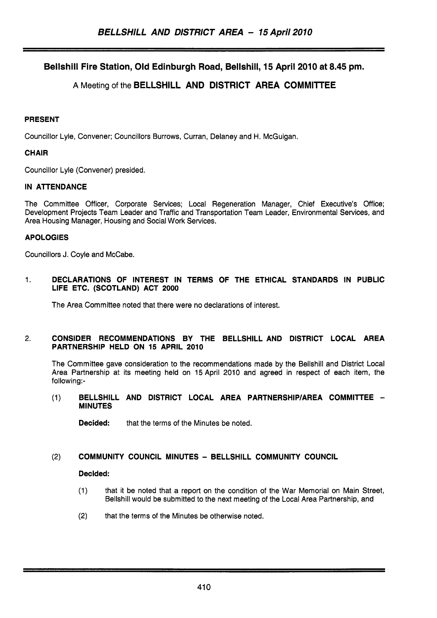# **Bellshill Fire Station, Old Edinburgh Road, Bellshill, 15 April 2010 at 8.45 pm.**

# **A** Meeting of the **BELLSHILL AND DISTRICT AREA COMMllTEE**

# **PRESENT**

Councillor Lyle, Convener; Councillors Burrows, Curran, Delaney and H. McGuigan.

# **CHAIR**

Councillor Lyle (Convener) presided.

# **IN ATTENDANCE**

The Committee Officer, Corporate Services; Local Regeneration Manager, Chief Executive's Office; Development Projects Team Leader and Traffic and Transportation Team Leader, Environmental Services, and Area Housing Manager, Housing and Social Work Services.

# **APOLOGIES**

Councillors J. Coyle and McCabe.

1. **DECLARATIONS OF INTEREST IN TERMS OF THE ETHICAL STANDARDS IN PUBLIC LIFE ETC. (SCOTLAND) ACT 2000** 

The Area Committee noted that there were no declarations of interest.

## 2. **CONSIDER RECOMMENDATIONS BY THE BELLSHILL AND DISTRICT LOCAL AREA PARTNERSHIP HELD ON 15 APRIL 2010**

The Committee gave consideration to the recommendations made by the Bellshill and District Local Area Partnership at its meeting held on 15 April 2010 and agreed in respect of each item, the following:-

(1) **BELLSHILL AND DISTRICT LOCAL AREA PARTNERSHIP/AREA COMMITTEE** - **MINUTES** 

**Decided:** that the terms of the Minutes be noted.

# (2) **COMMUNITY COUNCIL MINUTES** - **BELLSHILL COMMUNITY COUNCIL**

## **Decided:**

- (1) that it be noted that a report on the condition of the War Memorial on Main Street, Bellshill would be submitted to the next meeting of the Local Area Partnership, and
- (2) that the terms of the Minutes be otherwise noted.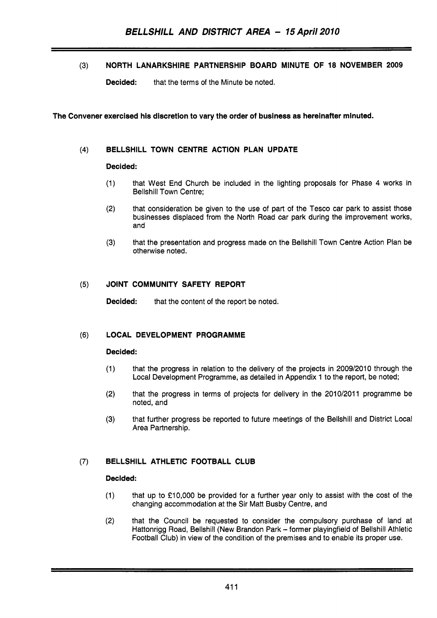**(3) NORTH LANARKSHIRE PARTNERSHIP BOARD MINUTE OF 18 NOVEMBER 2009** 

**Decided:** that the terms of the Minute be noted.

**The Convener exercised his discretion to vary the order of business as hereinafter minuted.** 

#### $(4)$ **BELLSHILL TOWN CENTRE ACTION PLAN UPDATE**

## **Decided** :

- **(1)** that West End Church be included in the lighting proposals for Phase **4** works in Bellshill Town Centre;
- **(2)** that consideration be given to the use of part of the Tesco car park to assist those businesses displaced from the North Road car park during the improvement works, and
- **(3)** that the presentation and progress made on the Bellshill Town Centre Action Plan be otherwise noted.

#### $(5)$ **JOINT COMMUNITY SAFETY REPORT**

**Decided:** that the content of the report be noted.

#### $(6)$ **LOCAL DEVELOPMENT PROGRAMME**

# **Decided:**

- **(1)** that the progress in relation to the delivery of the projects in **2009/2010** through the Local Development Programme, as detailed in Appendix **1** to the report, be noted;
- **(2)** that the progress in terms of projects for delivery in the **2010/2011** programme be noted, and
- **(3)** that further progress be reported to future meetings of the Bellshill and District Local Area Partnership.

#### $(7)$ **BELLSHILL ATHLETIC FOOTBALL CLUB**

## **Decided:**

- **(1)** that up to **f10,OOO** be provided for a further year only to assist with the cost of the changing accommodation at the Sir Matt Busby Centre, and
- **(2)** that the Council be requested to consider the compulsory purchase of land at Hattonrigg Road, Bellshill (New Brandon Park - former playingfield of Bellshill Athletic Football Club) in view of the condition of the premises and to enable its proper use.